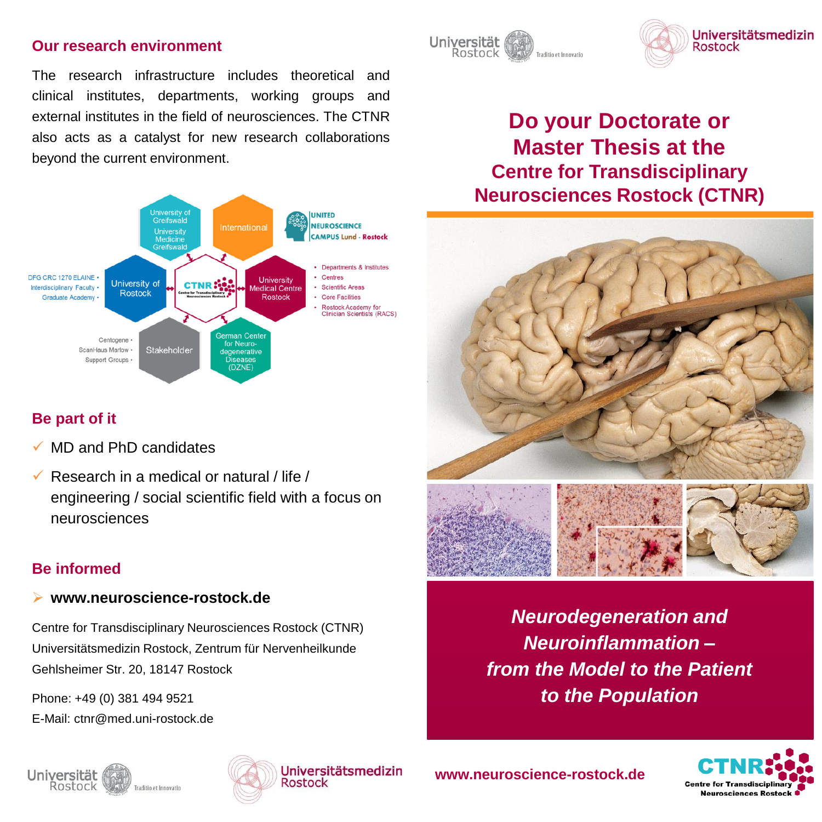## **Our research environment**

The research infrastructure includes theoretical and clinical institutes, departments, working groups and external institutes in the field of neurosciences. The CTNR also acts as a catalyst for new research collaborations beyond the current environment.



# **Be part of it**

- MD and PhD candidates
- Research in a medical or natural / life / engineering / social scientific field with a focus on neurosciences

# **Be informed**

## **www.neuroscience-rostock.de**

Centre for Transdisciplinary Neurosciences Rostock (CTNR) Universitätsmedizin Rostock, Zentrum für Nervenheilkunde Gehlsheimer Str. 20, 18147 Rostock

Phone: +49 (0) 381 494 9521 E-Mail: ctnr@med.uni-rostock.de







**www.neuroscience-rostock.de**







# **Do your Doctorate or Master Thesis at the Centre for Transdisciplinary Neurosciences Rostock (CTNR)**



*Neurodegeneration and Neuroinflammation – from the Model to the Patient to the Population*